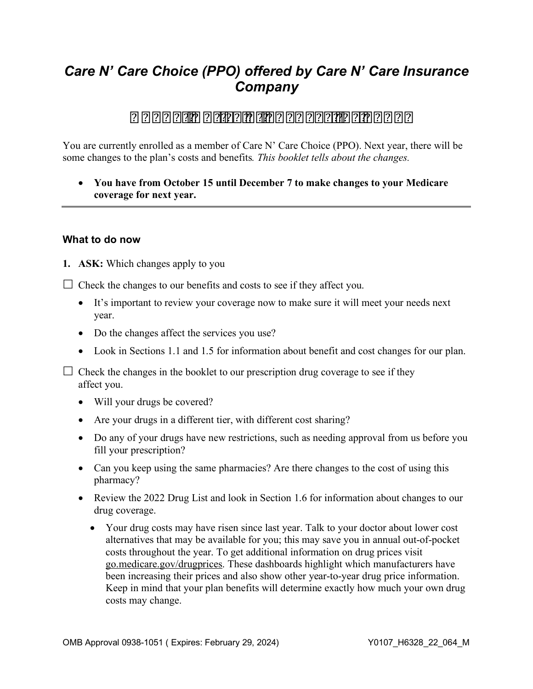# *Care N' Care Choice (PPO) offered by Care N' Care Insurance Company*

# **Annual Notice of Changes for 2022**

You are currently enrolled as a member of Care N' Care Choice (PPO). Next year, there will be some changes to the plan's costs and benefits*. This booklet tells about the changes.* 

 • **You have from October 15 until December 7 to make changes to your Medicare coverage for next year.**

#### **What to do now**

**1. ASK:** Which changes apply to you

 $\Box$  Check the changes to our benefits and costs to see if they affect you.

- It's important to review your coverage now to make sure it will meet your needs next year.
- Do the changes affect the services you use?
- Look in Sections 1.1 and 1.5 for information about benefit and cost changes for our plan.

 $\Box$  Check the changes in the booklet to our prescription drug coverage to see if they affect you.

- Will your drugs be covered?
- Are your drugs in a different tier, with different cost sharing?
- Do any of your drugs have new restrictions, such as needing approval from us before you fill your prescription?
- Can you keep using the same pharmacies? Are there changes to the cost of using this pharmacy?
- Review the 2022 Drug List and look in Section 1.6 for information about changes to our drug coverage.
	- Your drug costs may have risen since last year. Talk to your doctor about lower cost alternatives that may be available for you; this may save you in annual out-of-pocket costs throughout the year. To get additional information on drug prices visit [go.medicare.gov/drugprices.](https://go.medicare.gov/drugprices) These dashboards highlight which manufacturers have been increasing their prices and also show other year-to-year drug price information. Keep in mind that your plan benefits will determine exactly how much your own drug costs may change.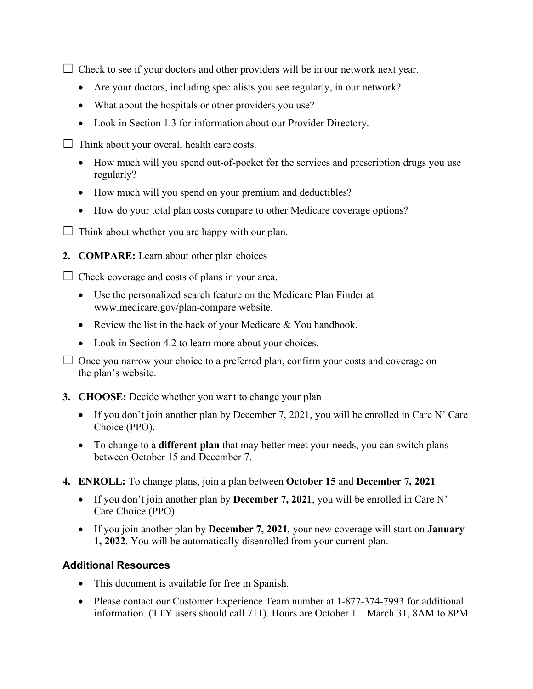$\Box$  Check to see if your doctors and other providers will be in our network next year.

- Are your doctors, including specialists you see regularly, in our network?
- What about the hospitals or other providers you use?
- Look in Section 1.3 for information about our Provider Directory.
- $\Box$  Think about your overall health care costs.
	- How much will you spend out-of-pocket for the services and prescription drugs you use regularly?
	- How much will you spend on your premium and deductibles?
	- How do your total plan costs compare to other Medicare coverage options?
- $\Box$  Think about whether you are happy with our plan.
- **2. COMPARE:** Learn about other plan choices

 $\Box$  Check coverage and costs of plans in your area.

- Use the personalized search feature on the Medicare Plan Finder at [www.medicare.gov/plan-compare](https://www.medicare.gov/plan-compare) website.
- Review the list in the back of your Medicare & You handbook.
- Look in Section 4.2 to learn more about your choices.

 $\Box$  Once you narrow your choice to a preferred plan, confirm your costs and coverage on the plan's website.

- **3. CHOOSE:** Decide whether you want to change your plan
	- • If you don't join another plan by December 7, 2021, you will be enrolled in Care N' Care Choice (PPO).
	- To change to a **different plan** that may better meet your needs, you can switch plans between October 15 and December 7.
- **4. ENROLL:** To change plans, join a plan between **October 15** and **December 7, 2021** 
	- If you don't join another plan by **December 7, 2021**, you will be enrolled in Care N' Care Choice (PPO).
	- • If you join another plan by **December 7, 2021**, your new coverage will start on **January 1, 2022**. You will be automatically disenrolled from your current plan.

### **Additional Resources**

- This document is available for free in Spanish.
- Please contact our Customer Experience Team number at 1-877-374-7993 for additional information. (TTY users should call 711). Hours are October 1 – March 31, 8AM to 8PM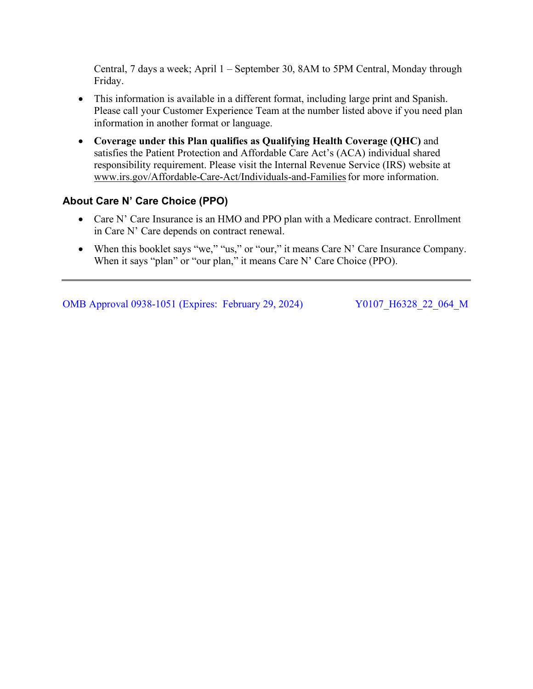Central, 7 days a week; April 1 – September 30, 8AM to 5PM Central, Monday through Friday.

- This information is available in a different format, including large print and Spanish. Please call your Customer Experience Team at the number listed above if you need plan information in another format or language.
- **Coverage under this Plan qualifies as Qualifying Health Coverage (QHC)** and satisfies the Patient Protection and Affordable Care Act's (ACA) individual shared responsibility requirement. Please visit the Internal Revenue Service (IRS) website at [www.irs.gov/Affordable-Care-Act/Individuals-and-Families f](https://www.irs.gov/Affordable-Care-Act/Individuals-and-Families)or more information.

### **About Care N' Care Choice (PPO)**

- in Care N' Care depends on contract renewal. • Care N' Care Insurance is an HMO and PPO plan with a Medicare contract. Enrollment
- When this booklet says "we," "us," or "our," it means Care N' Care Insurance Company. When it says "plan" or "our plan," it means Care N' Care Choice (PPO).

OMB Approval 0938-1051 (Expires: February 29, 2024) Y0107 H6328 22 064 M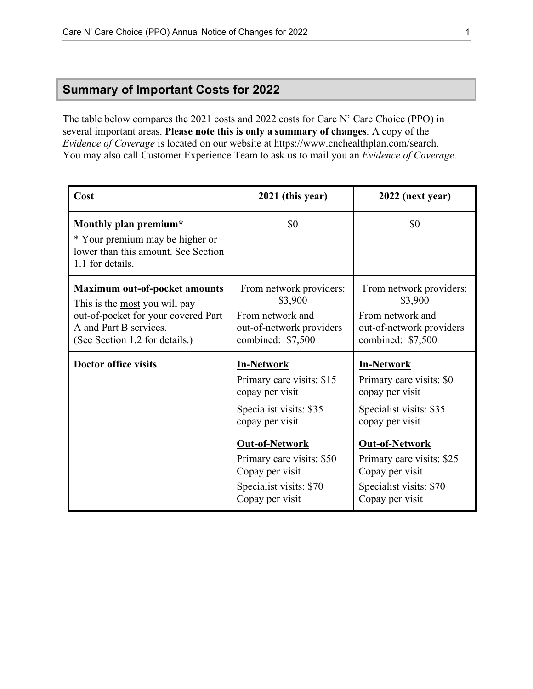## <span id="page-3-0"></span> **Summary of Important Costs for 2022**

The table below compares the 2021 costs and 2022 costs for Care N' Care Choice (PPO) in several important areas. **Please note this is only a summary of changes**. A copy of the *Evidence of Coverage* is located on our website at https://www.cnchealthplan.com/search. You may also call Customer Experience Team to ask us to mail you an *Evidence of Coverage*.

| Cost                                                                                                                                                                            | 2021 (this year)                                                                                                                                                                                                                       | 2022 (next year)                                                                                                                                                                                                                      |
|---------------------------------------------------------------------------------------------------------------------------------------------------------------------------------|----------------------------------------------------------------------------------------------------------------------------------------------------------------------------------------------------------------------------------------|---------------------------------------------------------------------------------------------------------------------------------------------------------------------------------------------------------------------------------------|
| Monthly plan premium*<br>* Your premium may be higher or<br>lower than this amount. See Section<br>1.1 for details.                                                             | \$0                                                                                                                                                                                                                                    | \$0                                                                                                                                                                                                                                   |
| <b>Maximum out-of-pocket amounts</b><br>This is the <u>most</u> you will pay<br>out-of-pocket for your covered Part<br>A and Part B services.<br>(See Section 1.2 for details.) | From network providers:<br>\$3,900<br>From network and<br>out-of-network providers<br>combined: \$7,500                                                                                                                                | From network providers:<br>\$3,900<br>From network and<br>out-of-network providers<br>combined: \$7,500                                                                                                                               |
| <b>Doctor office visits</b>                                                                                                                                                     | <b>In-Network</b><br>Primary care visits: \$15<br>copay per visit<br>Specialist visits: \$35<br>copay per visit<br><b>Out-of-Network</b><br>Primary care visits: \$50<br>Copay per visit<br>Specialist visits: \$70<br>Copay per visit | <b>In-Network</b><br>Primary care visits: \$0<br>copay per visit<br>Specialist visits: \$35<br>copay per visit<br><b>Out-of-Network</b><br>Primary care visits: \$25<br>Copay per visit<br>Specialist visits: \$70<br>Copay per visit |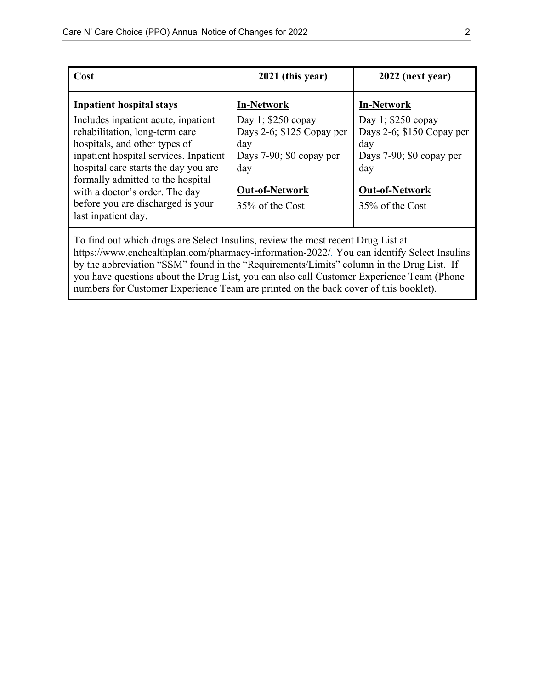| Cost                                                                             | 2021 (this year)            | 2022 (next year)            |
|----------------------------------------------------------------------------------|-----------------------------|-----------------------------|
| <b>Inpatient hospital stays</b>                                                  | <b>In-Network</b>           | <b>In-Network</b>           |
| Includes inpatient acute, inpatient                                              | Day 1; $$250$ copay         | Day 1; $$250$ copay         |
| rehabilitation, long-term care                                                   | Days 2-6; $$125$ Copay per  | Days 2-6; \$150 Copay per   |
| hospitals, and other types of                                                    | day                         | day                         |
| inpatient hospital services. Inpatient                                           | Days $7-90$ ; \$0 copay per | Days $7-90$ ; \$0 copay per |
| hospital care starts the day you are                                             | day                         | day                         |
| formally admitted to the hospital                                                |                             |                             |
| with a doctor's order. The day                                                   | <b>Out-of-Network</b>       | <b>Out-of-Network</b>       |
| before you are discharged is your                                                | 35% of the Cost             | 35% of the Cost             |
| last inpatient day.                                                              |                             |                             |
| To find out which drugs are Select Insulins, review the most recent Drug List at |                             |                             |

 by the abbreviation "SSM" found in the "Requirements/Limits" column in the Drug List. If you have questions about the Drug List, you can also call Customer Experience Team (Phone <https://www.cnchealthplan.com/pharmacy-information-2022/>*.* You can identify Select Insulins numbers for Customer Experience Team are printed on the back cover of this booklet).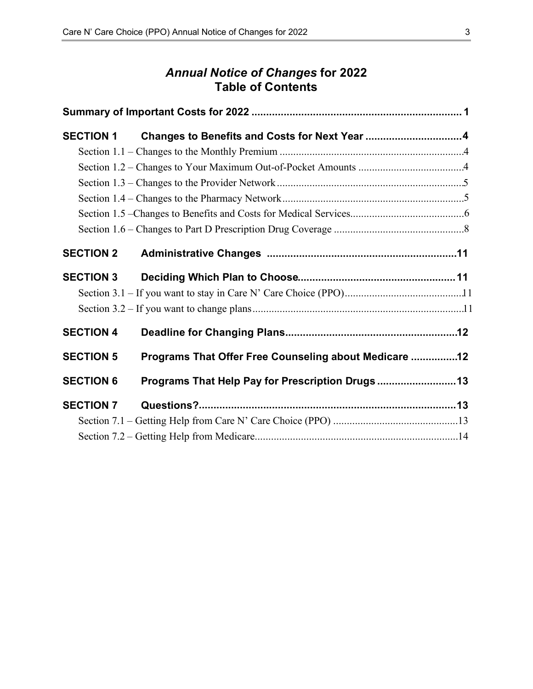# *Annual Notice of Changes* **for 2022 Table of Contents**

| <b>SECTION 1</b> | Changes to Benefits and Costs for Next Year 4         |  |
|------------------|-------------------------------------------------------|--|
|                  |                                                       |  |
|                  |                                                       |  |
|                  |                                                       |  |
|                  |                                                       |  |
|                  |                                                       |  |
|                  |                                                       |  |
| <b>SECTION 2</b> |                                                       |  |
| <b>SECTION 3</b> |                                                       |  |
|                  |                                                       |  |
|                  |                                                       |  |
| <b>SECTION 4</b> |                                                       |  |
| <b>SECTION 5</b> | Programs That Offer Free Counseling about Medicare 12 |  |
| <b>SECTION 6</b> | Programs That Help Pay for Prescription Drugs 13      |  |
| <b>SECTION 7</b> |                                                       |  |
|                  |                                                       |  |
|                  |                                                       |  |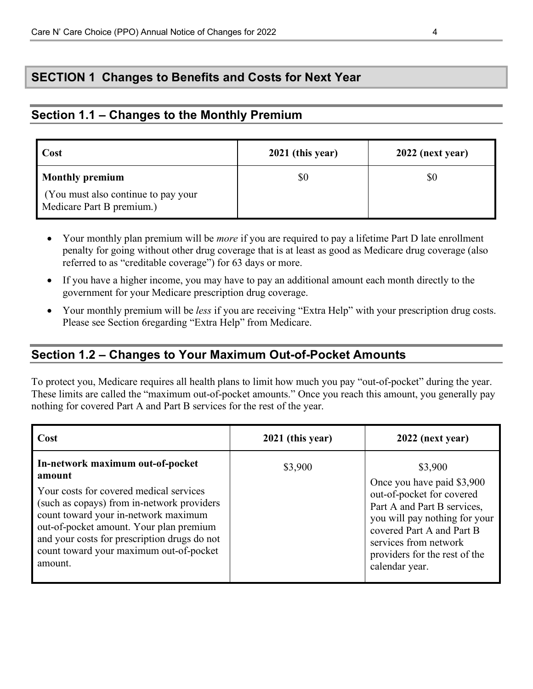# <span id="page-6-0"></span> **SECTION 1 Changes to Benefits and Costs for Next Year**

### **Section 1.1 – Changes to the Monthly Premium**

| Cost                                                             | $2021$ (this year) | 2022 (next year) |
|------------------------------------------------------------------|--------------------|------------------|
| <b>Monthly premium</b>                                           | \$0                | \$0              |
| (You must also continue to pay your<br>Medicare Part B premium.) |                    |                  |

- Your monthly plan premium will be *more* if you are required to pay a lifetime Part D late enrollment penalty for going without other drug coverage that is at least as good as Medicare drug coverage (also referred to as "creditable coverage") for 63 days or more.
- If you have a higher income, you may have to pay an additional amount each month directly to the government for your Medicare prescription drug coverage.
- Your monthly premium will be *less* if you are receiving "Extra Help" with your prescription drug costs. Please see Section 6regarding "Extra Help" from Medicare.

### **Section 1.2 – Changes to Your Maximum Out-of-Pocket Amounts**

 These limits are called the "maximum out-of-pocket amounts." Once you reach this amount, you generally pay To protect you, Medicare requires all health plans to limit how much you pay "out-of-pocket" during the year. nothing for covered Part A and Part B services for the rest of the year.

| Cost                                                                                                                                                                                                                                                                                                                         | 2021 (this year) | 2022 (next year)                                                                                                                                                                                                                            |
|------------------------------------------------------------------------------------------------------------------------------------------------------------------------------------------------------------------------------------------------------------------------------------------------------------------------------|------------------|---------------------------------------------------------------------------------------------------------------------------------------------------------------------------------------------------------------------------------------------|
| In-network maximum out-of-pocket<br>amount<br>Your costs for covered medical services<br>(such as copays) from in-network providers<br>count toward your in-network maximum<br>out-of-pocket amount. Your plan premium<br>and your costs for prescription drugs do not<br>count toward your maximum out-of-pocket<br>amount. | \$3,900          | \$3,900<br>Once you have paid \$3,900<br>out-of-pocket for covered<br>Part A and Part B services,<br>you will pay nothing for your<br>covered Part A and Part B<br>services from network<br>providers for the rest of the<br>calendar year. |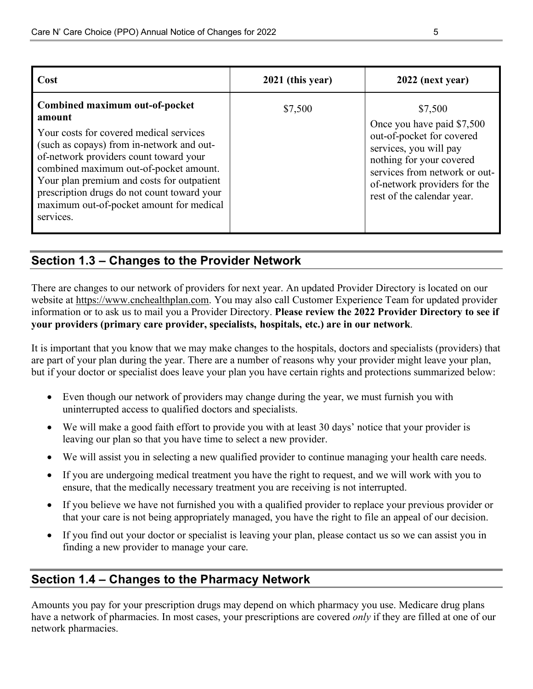<span id="page-7-0"></span>

| Care N' Care Choice (PPO) Annual Notice of Changes for 2022                                                                                                                                                                                                                                                                                                                                                                                                                                                                                                                                                                                                                                                                    |                  | 5                                                                                                                                                                                                                       |  |  |
|--------------------------------------------------------------------------------------------------------------------------------------------------------------------------------------------------------------------------------------------------------------------------------------------------------------------------------------------------------------------------------------------------------------------------------------------------------------------------------------------------------------------------------------------------------------------------------------------------------------------------------------------------------------------------------------------------------------------------------|------------------|-------------------------------------------------------------------------------------------------------------------------------------------------------------------------------------------------------------------------|--|--|
|                                                                                                                                                                                                                                                                                                                                                                                                                                                                                                                                                                                                                                                                                                                                |                  |                                                                                                                                                                                                                         |  |  |
| Cost                                                                                                                                                                                                                                                                                                                                                                                                                                                                                                                                                                                                                                                                                                                           | 2021 (this year) | 2022 (next year)                                                                                                                                                                                                        |  |  |
| Combined maximum out-of-pocket<br>amount<br>Your costs for covered medical services<br>(such as copays) from in-network and out-<br>of-network providers count toward your<br>combined maximum out-of-pocket amount.<br>Your plan premium and costs for outpatient<br>prescription drugs do not count toward your<br>maximum out-of-pocket amount for medical<br>services.                                                                                                                                                                                                                                                                                                                                                     | \$7,500          | \$7,500<br>Once you have paid \$7,500<br>out-of-pocket for covered<br>services, you will pay<br>nothing for your covered<br>services from network or out-<br>of-network providers for the<br>rest of the calendar year. |  |  |
| Section 1.3 - Changes to the Provider Network                                                                                                                                                                                                                                                                                                                                                                                                                                                                                                                                                                                                                                                                                  |                  |                                                                                                                                                                                                                         |  |  |
| information or to ask us to mail you a Provider Directory. Please review the 2022 Provider Directory to see if<br>your providers (primary care provider, specialists, hospitals, etc.) are in our network.<br>It is important that you know that we may make changes to the hospitals, doctors and specialists (providers) that<br>are part of your plan during the year. There are a number of reasons why your provider might leave your plan,<br>but if your doctor or specialist does leave your plan you have certain rights and protections summarized below:<br>Even though our network of providers may change during the year, we must furnish you with<br>uninterrupted access to qualified doctors and specialists. |                  |                                                                                                                                                                                                                         |  |  |
| We will make a good faith effort to provide you with at least 30 days' notice that your provider is<br>leaving our plan so that you have time to select a new provider.                                                                                                                                                                                                                                                                                                                                                                                                                                                                                                                                                        |                  |                                                                                                                                                                                                                         |  |  |
| We will assist you in selecting a new qualified provider to continue managing your health care needs.<br>If you are undergoing medical treatment you have the right to request, and we will work with you to<br>$\bullet$<br>ensure, that the medically necessary treatment you are receiving is not interrupted.                                                                                                                                                                                                                                                                                                                                                                                                              |                  |                                                                                                                                                                                                                         |  |  |
| If you believe we have not furnished you with a qualified provider to replace your previous provider or<br>$\bullet$<br>that your care is not being appropriately managed, you have the right to file an appeal of our decision.<br>If you find out your doctor or specialist is leaving your plan, please contact us so we can assist you in<br>$\bullet$                                                                                                                                                                                                                                                                                                                                                                     |                  |                                                                                                                                                                                                                         |  |  |
| finding a new provider to manage your care.                                                                                                                                                                                                                                                                                                                                                                                                                                                                                                                                                                                                                                                                                    |                  |                                                                                                                                                                                                                         |  |  |
| Section 1.4 - Changes to the Pharmacy Network                                                                                                                                                                                                                                                                                                                                                                                                                                                                                                                                                                                                                                                                                  |                  |                                                                                                                                                                                                                         |  |  |
| Amounts you pay for your prescription drugs may depend on which pharmacy you use. Medicare drug plans<br>have a network of pharmacies. In most cases, your prescriptions are covered only if they are filled at one of our<br>network pharmacies.                                                                                                                                                                                                                                                                                                                                                                                                                                                                              |                  |                                                                                                                                                                                                                         |  |  |

# **Section 1.3 – Changes to the Provider Network**

- • Even though our network of providers may change during the year, we must furnish you with uninterrupted access to qualified doctors and specialists.
- We will make a good faith effort to provide you with at least 30 days' notice that your provider is leaving our plan so that you have time to select a new provider.
- We will assist you in selecting a new qualified provider to continue managing your health care needs.
- If you are undergoing medical treatment you have the right to request, and we will work with you to ensure, that the medically necessary treatment you are receiving is not interrupted.
- • If you believe we have not furnished you with a qualified provider to replace your previous provider or that your care is not being appropriately managed, you have the right to file an appeal of our decision.
- finding a new provider to manage your care. • If you find out your doctor or specialist is leaving your plan, please contact us so we can assist you in

# **Section 1.4 – Changes to the Pharmacy Network**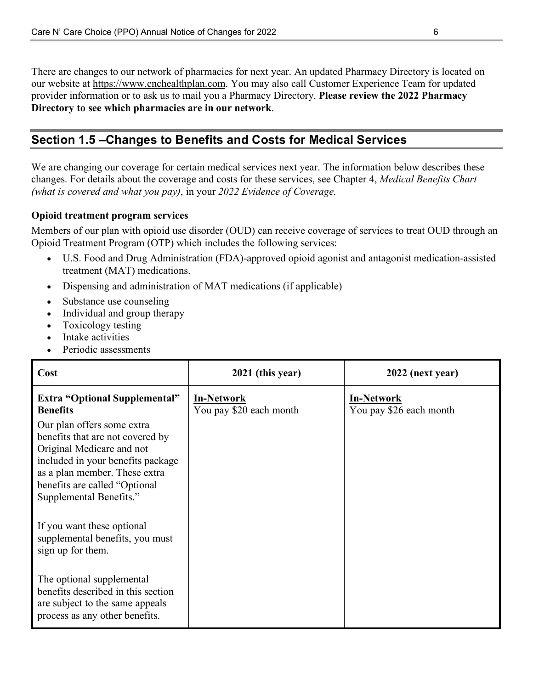<span id="page-8-0"></span>There are changes to our network of pharmacies for next year. An updated Pharmacy Directory is located on our website at [https://www.cnchealthplan.com.](https://www.cnchealthplan.com) You may also call Customer Experience Team for updated provider information or to ask us to mail you a Pharmacy Directory. **Please review the 2022 Pharmacy Directory to see which pharmacies are in our network**.

# **Section 1.5 –Changes to Benefits and Costs for Medical Services**

We are changing our coverage for certain medical services next year. The information below describes these changes. For details about the coverage and costs for these services, see Chapter 4, *Medical Benefits Chart (what is covered and what you pay)*, in your *2022 Evidence of Coverage.* 

#### **Opioid treatment program services**

Members of our plan with opioid use disorder (OUD) can receive coverage of services to treat OUD through an Opioid Treatment Program (OTP) which includes the following services:

- U.S. Food and Drug Administration (FDA)-approved opioid agonist and antagonist medication-assisted treatment (MAT) medications.
- Dispensing and administration of MAT medications (if applicable)
- Substance use counseling
- Individual and group therapy
- Toxicology testing
- Intake activities
- Periodic assessments

| Cost                                                                                                                                                                                                                          | 2021 (this year)                             | 2022 (next year)                             |
|-------------------------------------------------------------------------------------------------------------------------------------------------------------------------------------------------------------------------------|----------------------------------------------|----------------------------------------------|
| <b>Extra "Optional Supplemental"</b><br><b>Benefits</b>                                                                                                                                                                       | <b>In-Network</b><br>You pay \$20 each month | <b>In-Network</b><br>You pay \$26 each month |
| Our plan offers some extra<br>benefits that are not covered by<br>Original Medicare and not<br>included in your benefits package<br>as a plan member. These extra<br>benefits are called "Optional<br>Supplemental Benefits." |                                              |                                              |
| If you want these optional<br>supplemental benefits, you must<br>sign up for them.                                                                                                                                            |                                              |                                              |
| The optional supplemental<br>benefits described in this section<br>are subject to the same appeals<br>process as any other benefits.                                                                                          |                                              |                                              |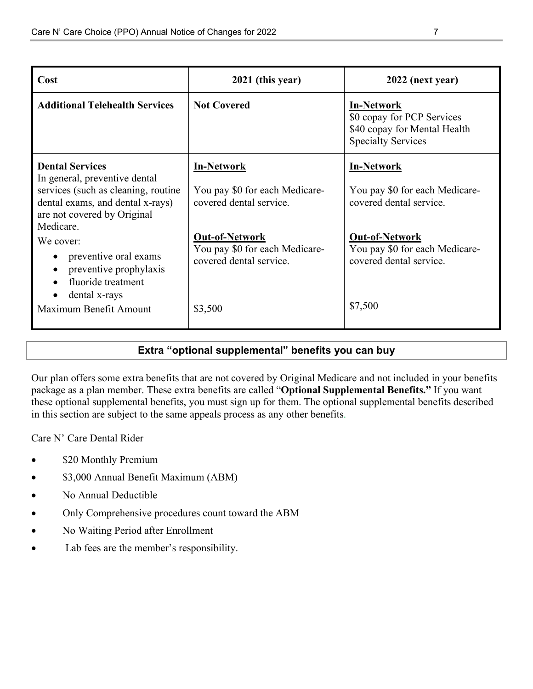| Cost                                                                                                                                                                                                                                                                     | 2021 (this year)                                                                                                                                                     | 2022 (next year)                                                                                                                                                     |
|--------------------------------------------------------------------------------------------------------------------------------------------------------------------------------------------------------------------------------------------------------------------------|----------------------------------------------------------------------------------------------------------------------------------------------------------------------|----------------------------------------------------------------------------------------------------------------------------------------------------------------------|
| <b>Additional Telehealth Services</b>                                                                                                                                                                                                                                    | <b>Not Covered</b>                                                                                                                                                   | <b>In-Network</b><br>\$0 copay for PCP Services<br>\$40 copay for Mental Health<br><b>Specialty Services</b>                                                         |
| <b>Dental Services</b><br>In general, preventive dental<br>services (such as cleaning, routine<br>dental exams, and dental x-rays)<br>are not covered by Original<br>Medicare.<br>We cover:<br>preventive oral exams<br>$\bullet$<br>preventive prophylaxis<br>$\bullet$ | <b>In-Network</b><br>You pay \$0 for each Medicare-<br>covered dental service.<br><b>Out-of-Network</b><br>You pay \$0 for each Medicare-<br>covered dental service. | <b>In-Network</b><br>You pay \$0 for each Medicare-<br>covered dental service.<br><b>Out-of-Network</b><br>You pay \$0 for each Medicare-<br>covered dental service. |
| fluoride treatment<br>$\bullet$<br>dental x-rays<br>$\bullet$<br>Maximum Benefit Amount                                                                                                                                                                                  | \$3,500                                                                                                                                                              | \$7,500                                                                                                                                                              |

### **Extra "optional supplemental" benefits you can buy**

Our plan offers some extra benefits that are not covered by Original Medicare and not included in your benefits package as a plan member. These extra benefits are called "**Optional Supplemental Benefits."** If you want these optional supplemental benefits, you must sign up for them. The optional supplemental benefits described in this section are subject to the same appeals process as any other benefits.

Care N' Care Dental Rider

- \$20 Monthly Premium
- \$3,000 Annual Benefit Maximum (ABM)
- No Annual Deductible
- Only Comprehensive procedures count toward the ABM
- No Waiting Period after Enrollment
- Lab fees are the member's responsibility.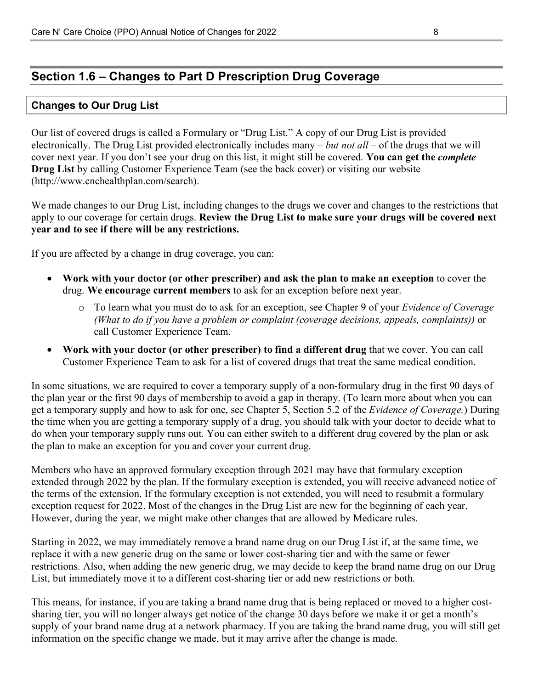### <span id="page-10-0"></span>**Section 1.6 – Changes to Part D Prescription Drug Coverage**

#### **Changes to Our Drug List**

 Our list of covered drugs is called a Formulary or "Drug List." A copy of our Drug List is provided electronically. The Drug List provided electronically includes many – *but not all* – of the drugs that we will cover next year. If you don't see your drug on this list, it might still be covered. **You can get the** *complete* **Drug List** by calling Customer Experience Team (see the back cover) or visiting our website (http://www.cnchealthplan.com/search).

We made changes to our Drug List, including changes to the drugs we cover and changes to the restrictions that apply to our coverage for certain drugs. **Review the Drug List to make sure your drugs will be covered next year and to see if there will be any restrictions.** 

If you are affected by a change in drug coverage, you can:

- drug. **We encourage current members** to ask for an exception before next year. • **Work with your doctor (or other prescriber) and ask the plan to make an exception** to cover the
	- o To learn what you must do to ask for an exception, see Chapter 9 of your *Evidence of Coverage (What to do if you have a problem or complaint (coverage decisions, appeals, complaints))* or call Customer Experience Team.
- **Work with your doctor (or other prescriber) to find a different drug** that we cover. You can call Customer Experience Team to ask for a list of covered drugs that treat the same medical condition.

In some situations, we are required to cover a temporary supply of a non-formulary drug in the first 90 days of the plan year or the first 90 days of membership to avoid a gap in therapy. (To learn more about when you can get a temporary supply and how to ask for one, see Chapter 5, Section 5.2 of the *Evidence of Coverage.*) During the time when you are getting a temporary supply of a drug, you should talk with your doctor to decide what to do when your temporary supply runs out. You can either switch to a different drug covered by the plan or ask the plan to make an exception for you and cover your current drug.

Members who have an approved formulary exception through 2021 may have that formulary exception extended through 2022 by the plan. If the formulary exception is extended, you will receive advanced notice of the terms of the extension. If the formulary exception is not extended, you will need to resubmit a formulary exception request for 2022. Most of the changes in the Drug List are new for the beginning of each year. However, during the year, we might make other changes that are allowed by Medicare rules.

 List, but immediately move it to a different cost-sharing tier or add new restrictions or both. Starting in 2022, we may immediately remove a brand name drug on our Drug List if, at the same time, we replace it with a new generic drug on the same or lower cost-sharing tier and with the same or fewer restrictions. Also, when adding the new generic drug, we may decide to keep the brand name drug on our Drug

 This means, for instance, if you are taking a brand name drug that is being replaced or moved to a higher cost- supply of your brand name drug at a network pharmacy. If you are taking the brand name drug, you will still get sharing tier, you will no longer always get notice of the change 30 days before we make it or get a month's information on the specific change we made, but it may arrive after the change is made.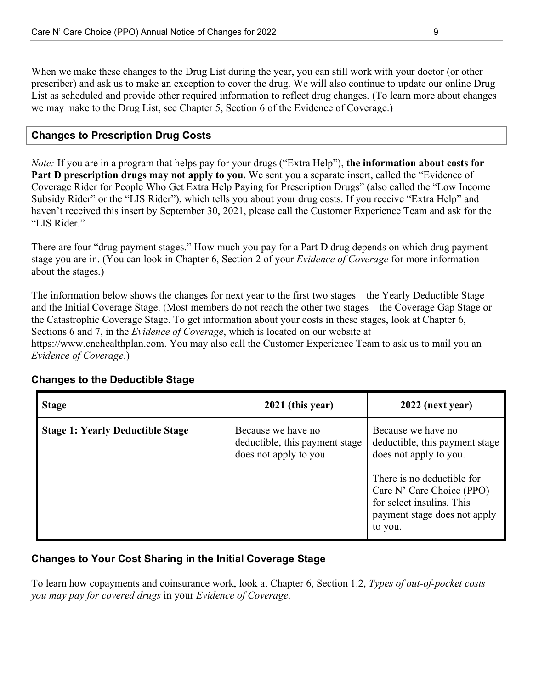When we make these changes to the Drug List during the year, you can still work with your doctor (or other prescriber) and ask us to make an exception to cover the drug. We will also continue to update our online Drug List as scheduled and provide other required information to reflect drug changes. (To learn more about changes we may make to the Drug List, see Chapter 5, Section 6 of the Evidence of Coverage.)

### **Changes to Prescription Drug Costs**

 Subsidy Rider" or the "LIS Rider"), which tells you about your drug costs. If you receive "Extra Help" and *Note:* If you are in a program that helps pay for your drugs ("Extra Help"), **the information about costs for Part D prescription drugs may not apply to you.** We sent you a separate insert, called the "Evidence of Coverage Rider for People Who Get Extra Help Paying for Prescription Drugs" (also called the "Low Income haven't received this insert by September 30, 2021, please call the Customer Experience Team and ask for the "LIS Rider."

 There are four "drug payment stages." How much you pay for a Part D drug depends on which drug payment stage you are in. (You can look in Chapter 6, Section 2 of your *Evidence of Coverage* for more information about the stages.)

 and the Initial Coverage Stage. (Most members do not reach the other two stages – the Coverage Gap Stage or The information below shows the changes for next year to the first two stages – the Yearly Deductible Stage the Catastrophic Coverage Stage. To get information about your costs in these stages, look at Chapter 6, Sections 6 and 7, in the *Evidence of Coverage*, which is located on our website at https://www.cnchealthplan.com. You may also call the Customer Experience Team to ask us to mail you an *Evidence of Coverage*.)

| <b>Stage</b>                            | 2021 (this year)                                                              | 2022 (next year)                                                                                                                          |
|-----------------------------------------|-------------------------------------------------------------------------------|-------------------------------------------------------------------------------------------------------------------------------------------|
| <b>Stage 1: Yearly Deductible Stage</b> | Because we have no<br>deductible, this payment stage<br>does not apply to you | Because we have no<br>deductible, this payment stage<br>does not apply to you.<br>There is no deductible for<br>Care N' Care Choice (PPO) |
|                                         |                                                                               | for select insulins. This<br>payment stage does not apply<br>to you.                                                                      |

#### **Changes to the Deductible Stage**

### **Changes to Your Cost Sharing in the Initial Coverage Stage**

To learn how copayments and coinsurance work, look at Chapter 6, Section 1.2, *Types of out-of-pocket costs you may pay for covered drugs* in your *Evidence of Coverage*.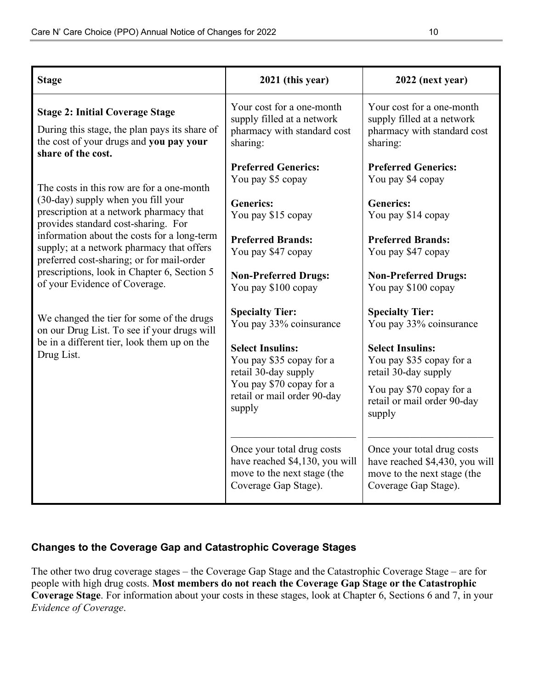| <b>Stage</b>                                                                                                                                             | 2021 (this year)                                                                                                    | 2022 (next year)                                                                                                    |
|----------------------------------------------------------------------------------------------------------------------------------------------------------|---------------------------------------------------------------------------------------------------------------------|---------------------------------------------------------------------------------------------------------------------|
| <b>Stage 2: Initial Coverage Stage</b><br>During this stage, the plan pays its share of<br>the cost of your drugs and you pay your<br>share of the cost. | Your cost for a one-month<br>supply filled at a network<br>pharmacy with standard cost<br>sharing:                  | Your cost for a one-month<br>supply filled at a network<br>pharmacy with standard cost<br>sharing:                  |
| The costs in this row are for a one-month                                                                                                                | <b>Preferred Generics:</b><br>You pay \$5 copay                                                                     | <b>Preferred Generics:</b><br>You pay \$4 copay                                                                     |
| (30-day) supply when you fill your<br>prescription at a network pharmacy that<br>provides standard cost-sharing. For                                     | <b>Generics:</b><br>You pay \$15 copay                                                                              | <b>Generics:</b><br>You pay \$14 copay                                                                              |
| information about the costs for a long-term<br>supply; at a network pharmacy that offers<br>preferred cost-sharing; or for mail-order                    | <b>Preferred Brands:</b><br>You pay \$47 copay                                                                      | <b>Preferred Brands:</b><br>You pay \$47 copay                                                                      |
| prescriptions, look in Chapter 6, Section 5<br>of your Evidence of Coverage.                                                                             | <b>Non-Preferred Drugs:</b><br>You pay \$100 copay                                                                  | <b>Non-Preferred Drugs:</b><br>You pay \$100 copay                                                                  |
| We changed the tier for some of the drugs<br>on our Drug List. To see if your drugs will                                                                 | <b>Specialty Tier:</b><br>You pay 33% coinsurance                                                                   | <b>Specialty Tier:</b><br>You pay 33% coinsurance                                                                   |
| be in a different tier, look them up on the<br>Drug List.                                                                                                | <b>Select Insulins:</b><br>You pay \$35 copay for a<br>retail 30-day supply                                         | <b>Select Insulins:</b><br>You pay \$35 copay for a<br>retail 30-day supply                                         |
|                                                                                                                                                          | You pay \$70 copay for a<br>retail or mail order 90-day<br>supply                                                   | You pay \$70 copay for a<br>retail or mail order 90-day<br>supply                                                   |
|                                                                                                                                                          | Once your total drug costs<br>have reached \$4,130, you will<br>move to the next stage (the<br>Coverage Gap Stage). | Once your total drug costs<br>have reached \$4,430, you will<br>move to the next stage (the<br>Coverage Gap Stage). |

### **Changes to the Coverage Gap and Catastrophic Coverage Stages**

The other two drug coverage stages – the Coverage Gap Stage and the Catastrophic Coverage Stage – are for people with high drug costs. **Most members do not reach the Coverage Gap Stage or the Catastrophic Coverage Stage**. For information about your costs in these stages, look at Chapter 6, Sections 6 and 7, in your *Evidence of Coverage*.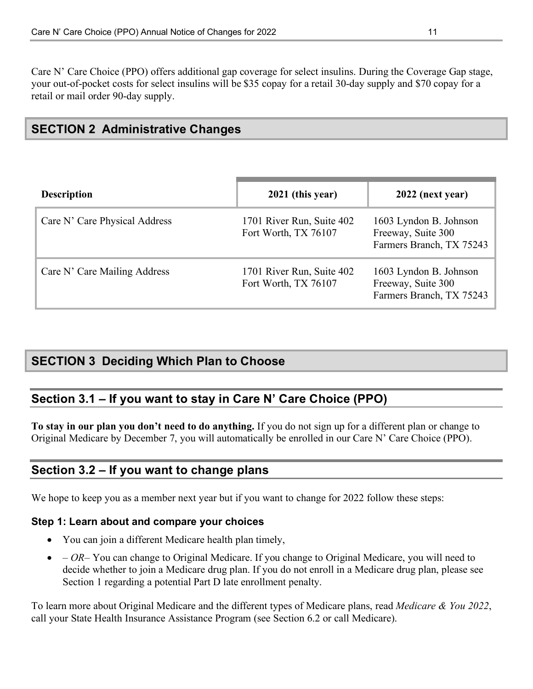<span id="page-13-0"></span>Care N' Care Choice (PPO) offers additional gap coverage for select insulins. During the Coverage Gap stage, your out-of-pocket costs for select insulins will be \$35 copay for a retail 30-day supply and \$70 copay for a retail or mail order 90-day supply.

# **SECTION 2 Administrative Changes**

| <b>Description</b>            | 2021 (this year)                                  | 2022 (next year)                                                         |
|-------------------------------|---------------------------------------------------|--------------------------------------------------------------------------|
| Care N' Care Physical Address | 1701 River Run, Suite 402<br>Fort Worth, TX 76107 | 1603 Lyndon B. Johnson<br>Freeway, Suite 300<br>Farmers Branch, TX 75243 |
| Care N' Care Mailing Address  | 1701 River Run, Suite 402<br>Fort Worth, TX 76107 | 1603 Lyndon B. Johnson<br>Freeway, Suite 300<br>Farmers Branch, TX 75243 |

# **SECTION 3 Deciding Which Plan to Choose**

### **Section 3.1 – If you want to stay in Care N' Care Choice (PPO)**

 Original Medicare by December 7, you will automatically be enrolled in our Care N' Care Choice (PPO). **To stay in our plan you don't need to do anything.** If you do not sign up for a different plan or change to

### **Section 3.2 – If you want to change plans**

We hope to keep you as a member next year but if you want to change for 2022 follow these steps:

### **Step 1: Learn about and compare your choices**

- You can join a different Medicare health plan timely,
- *OR–* You can change to Original Medicare. If you change to Original Medicare, you will need to decide whether to join a Medicare drug plan. If you do not enroll in a Medicare drug plan, please see Section 1 regarding a potential Part D late enrollment penalty.

To learn more about Original Medicare and the different types of Medicare plans, read *Medicare & You 2022*, call your State Health Insurance Assistance Program (see Section 6.2 or call Medicare).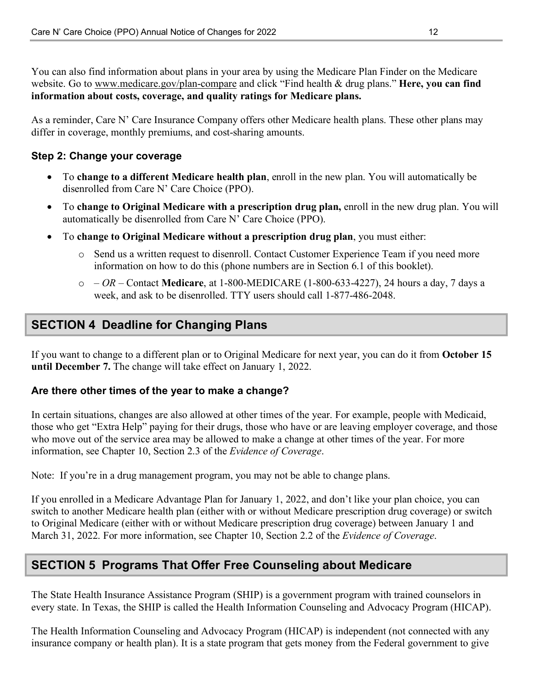<span id="page-14-0"></span>You can also find information about plans in your area by using the Medicare Plan Finder on the Medicare website. Go to [www.medicare.gov/plan-compare](https://www.medicare.gov/plan-compare) and click "Find health & drug plans." **Here, you can find information about costs, coverage, and quality ratings for Medicare plans.** 

As a reminder, Care N' Care Insurance Company offers other Medicare health plans. These other plans may differ in coverage, monthly premiums, and cost-sharing amounts.

### **Step 2: Change your coverage**

- To **change to a different Medicare health plan**, enroll in the new plan. You will automatically be disenrolled from Care N' Care Choice (PPO).
- • To **change to Original Medicare with a prescription drug plan,** enroll in the new drug plan. You will automatically be disenrolled from Care N' Care Choice (PPO).
- To **change to Original Medicare without a prescription drug plan**, you must either:
	- o Send us a written request to disenroll. Contact Customer Experience Team if you need more information on how to do this (phone numbers are in Section 6.1 of this booklet).
	- o  *OR* Contact **Medicare**, at 1-800-MEDICARE (1-800-633-4227), 24 hours a day, 7 days a week, and ask to be disenrolled. TTY users should call 1-877-486-2048.

# **SECTION 4 Deadline for Changing Plans**

If you want to change to a different plan or to Original Medicare for next year, you can do it from **October 15 until December 7.** The change will take effect on January 1, 2022.

#### **Are there other times of the year to make a change?**

In certain situations, changes are also allowed at other times of the year. For example, people with Medicaid, those who get "Extra Help" paying for their drugs, those who have or are leaving employer coverage, and those who move out of the service area may be allowed to make a change at other times of the year. For more information, see Chapter 10, Section 2.3 of the *Evidence of Coverage*.

Note: If you're in a drug management program, you may not be able to change plans.

If you enrolled in a Medicare Advantage Plan for January 1, 2022, and don't like your plan choice, you can switch to another Medicare health plan (either with or without Medicare prescription drug coverage) or switch to Original Medicare (either with or without Medicare prescription drug coverage) between January 1 and March 31, 2022. For more information, see Chapter 10, Section 2.2 of the *Evidence of Coverage*.

# **SECTION 5 Programs That Offer Free Counseling about Medicare**

 every state. In Texas, the SHIP is called the Health Information Counseling and Advocacy Program (HICAP). The State Health Insurance Assistance Program (SHIP) is a government program with trained counselors in

The Health Information Counseling and Advocacy Program (HICAP) is independent (not connected with any insurance company or health plan). It is a state program that gets money from the Federal government to give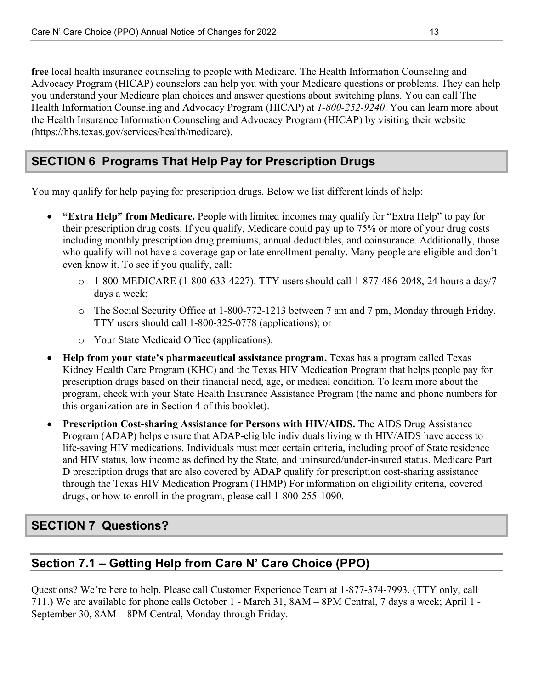<span id="page-15-0"></span>**free** local health insurance counseling to people with Medicare. The Health Information Counseling and Advocacy Program (HICAP) counselors can help you with your Medicare questions or problems. They can help you understand your Medicare plan choices and answer questions about switching plans. You can call The Health Information Counseling and Advocacy Program (HICAP) at *1-800-252-9240*. You can learn more about the Health Insurance Information Counseling and Advocacy Program (HICAP) by visiting their website (https://hhs.texas.gov/services/health/medicare).

# **SECTION 6 Programs That Help Pay for Prescription Drugs**

You may qualify for help paying for prescription drugs. Below we list different kinds of help:

- **"Extra Help" from Medicare.** People with limited incomes may qualify for "Extra Help" to pay for their prescription drug costs. If you qualify, Medicare could pay up to 75% or more of your drug costs including monthly prescription drug premiums, annual deductibles, and coinsurance. Additionally, those who qualify will not have a coverage gap or late enrollment penalty. Many people are eligible and don't even know it. To see if you qualify, call:
	- o 1-800-MEDICARE (1-800-633-4227). TTY users should call 1-877-486-2048, 24 hours a day/7 days a week;
	- TTY users should call 1-800-325-0778 (applications); or o The Social Security Office at 1-800-772-1213 between 7 am and 7 pm, Monday through Friday.
	- o Your State Medicaid Office (applications).
- **Help from your state's pharmaceutical assistance program.** Texas has a program called Texas Kidney Health Care Program (KHC) and the Texas HIV Medication Program that helps people pay for prescription drugs based on their financial need, age, or medical condition*.* To learn more about the program, check with your State Health Insurance Assistance Program (the name and phone numbers for this organization are in Section 4 of this booklet).
- **Prescription Cost-sharing Assistance for Persons with HIV/AIDS.** The AIDS Drug Assistance Program (ADAP) helps ensure that ADAP-eligible individuals living with HIV/AIDS have access to life-saving HIV medications. Individuals must meet certain criteria, including proof of State residence and HIV status, low income as defined by the State, and uninsured/under-insured status. Medicare Part D prescription drugs that are also covered by ADAP qualify for prescription cost-sharing assistance through the Texas HIV Medication Program (THMP) For information on eligibility criteria, covered drugs, or how to enroll in the program, please call 1-800-255-1090.

# **SECTION 7 Questions?**

# **Section 7.1 – Getting Help from Care N' Care Choice (PPO)**

Questions? We're here to help. Please call Customer Experience Team at 1-877-374-7993. (TTY only, call 711.) We are available for phone calls October 1 - March 31, 8AM – 8PM Central, 7 days a week; April 1 - September 30, 8AM – 8PM Central, Monday through Friday.